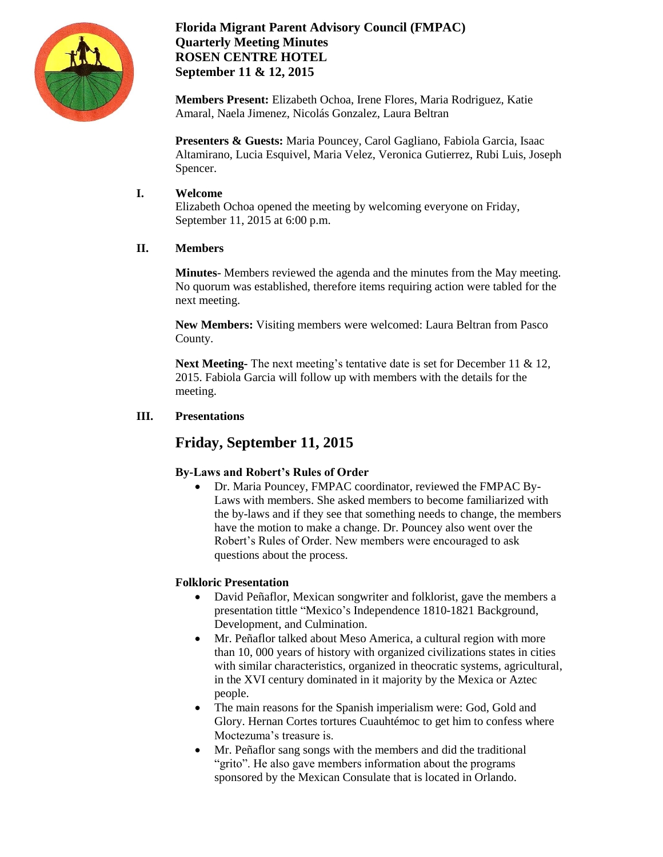

### **Florida Migrant Parent Advisory Council (FMPAC) Quarterly Meeting Minutes ROSEN CENTRE HOTEL September 11 & 12, 2015**

**Members Present:** Elizabeth Ochoa, Irene Flores, Maria Rodriguez, Katie Amaral, Naela Jimenez, Nicolás Gonzalez, Laura Beltran

**Presenters & Guests:** Maria Pouncey, Carol Gagliano, Fabiola Garcia, Isaac Altamirano, Lucia Esquivel, Maria Velez, Veronica Gutierrez, Rubi Luis, Joseph Spencer.

#### **I. Welcome**

Elizabeth Ochoa opened the meeting by welcoming everyone on Friday, September 11, 2015 at 6:00 p.m.

### **II. Members**

**Minutes**- Members reviewed the agenda and the minutes from the May meeting. No quorum was established, therefore items requiring action were tabled for the next meeting.

**New Members:** Visiting members were welcomed: Laura Beltran from Pasco County.

**Next Meeting-** The next meeting's tentative date is set for December 11 & 12, 2015. Fabiola Garcia will follow up with members with the details for the meeting.

### **III. Presentations**

## **Friday, September 11, 2015**

## **By-Laws and Robert's Rules of Order**

 Dr. Maria Pouncey, FMPAC coordinator, reviewed the FMPAC By-Laws with members. She asked members to become familiarized with the by-laws and if they see that something needs to change, the members have the motion to make a change. Dr. Pouncey also went over the Robert's Rules of Order. New members were encouraged to ask questions about the process.

#### **Folkloric Presentation**

- David Peñaflor, Mexican songwriter and folklorist, gave the members a presentation tittle "Mexico's Independence 1810-1821 Background, Development, and Culmination.
- Mr. Peñaflor talked about Meso America, a cultural region with more than 10, 000 years of history with organized civilizations states in cities with similar characteristics, organized in theocratic systems, agricultural, in the XVI century dominated in it majority by the Mexica or Aztec people.
- The main reasons for the Spanish imperialism were: God, Gold and Glory. Hernan Cortes tortures Cuauhtémoc to get him to confess where Moctezuma's treasure is.
- Mr. Peñaflor sang songs with the members and did the traditional "grito". He also gave members information about the programs sponsored by the Mexican Consulate that is located in Orlando.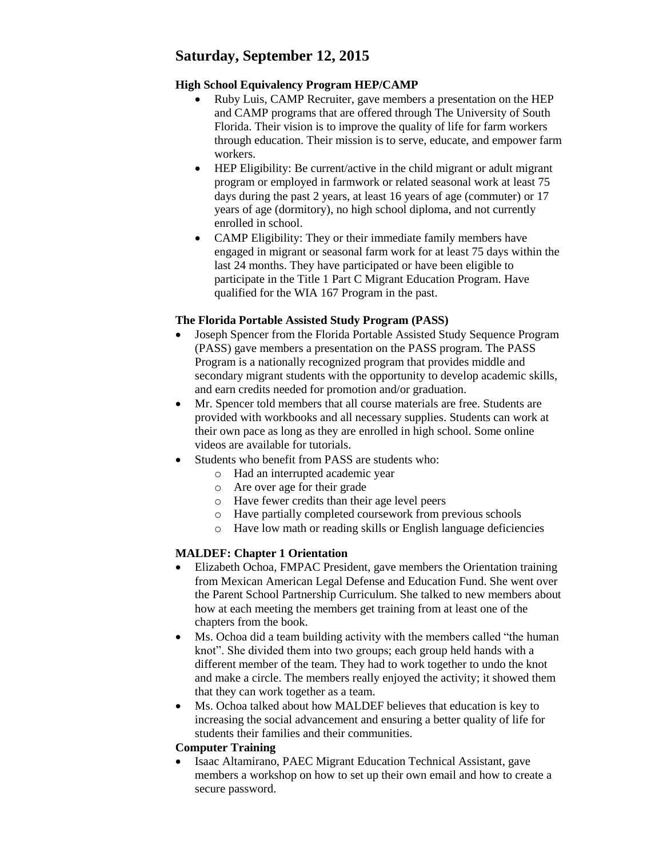# **Saturday, September 12, 2015**

### **High School Equivalency Program HEP/CAMP**

- Ruby Luis, CAMP Recruiter, gave members a presentation on the HEP and CAMP programs that are offered through The University of South Florida. Their vision is to improve the quality of life for farm workers through education. Their mission is to serve, educate, and empower farm workers.
- HEP Eligibility: Be current/active in the child migrant or adult migrant program or employed in farmwork or related seasonal work at least 75 days during the past 2 years, at least 16 years of age (commuter) or 17 years of age (dormitory), no high school diploma, and not currently enrolled in school.
- CAMP Eligibility: They or their immediate family members have engaged in migrant or seasonal farm work for at least 75 days within the last 24 months. They have participated or have been eligible to participate in the Title 1 Part C Migrant Education Program. Have qualified for the WIA 167 Program in the past.

### **The Florida Portable Assisted Study Program (PASS)**

- Joseph Spencer from the Florida Portable Assisted Study Sequence Program (PASS) gave members a presentation on the PASS program. The PASS Program is a nationally recognized program that provides middle and secondary migrant students with the opportunity to develop academic skills, and earn credits needed for promotion and/or graduation.
- Mr. Spencer told members that all course materials are free. Students are provided with workbooks and all necessary supplies. Students can work at their own pace as long as they are enrolled in high school. Some online videos are available for tutorials.
- Students who benefit from PASS are students who:
	- o Had an interrupted academic year
	- o Are over age for their grade
	- o Have fewer credits than their age level peers
	- o Have partially completed coursework from previous schools
	- o Have low math or reading skills or English language deficiencies

## **MALDEF: Chapter 1 Orientation**

- Elizabeth Ochoa, FMPAC President, gave members the Orientation training from Mexican American Legal Defense and Education Fund. She went over the Parent School Partnership Curriculum. She talked to new members about how at each meeting the members get training from at least one of the chapters from the book.
- Ms. Ochoa did a team building activity with the members called "the human knot". She divided them into two groups; each group held hands with a different member of the team. They had to work together to undo the knot and make a circle. The members really enjoyed the activity; it showed them that they can work together as a team.
- Ms. Ochoa talked about how MALDEF believes that education is key to increasing the social advancement and ensuring a better quality of life for students their families and their communities.

#### **Computer Training**

 Isaac Altamirano, PAEC Migrant Education Technical Assistant, gave members a workshop on how to set up their own email and how to create a secure password.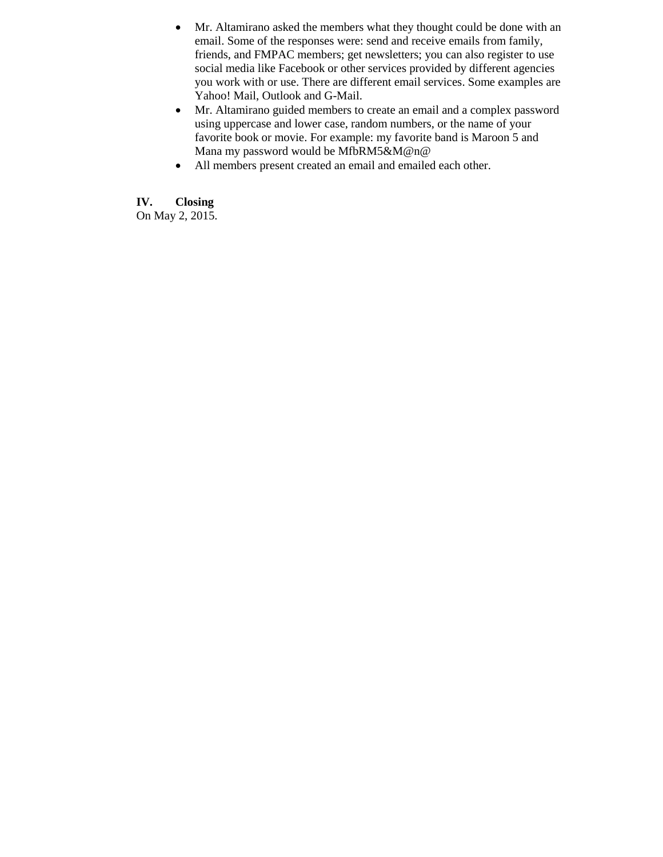- Mr. Altamirano asked the members what they thought could be done with an email. Some of the responses were: send and receive emails from family, friends, and FMPAC members; get newsletters; you can also register to use social media like Facebook or other services provided by different agencies you work with or use. There are different email services. Some examples are Yahoo! Mail, Outlook and G-Mail.
- Mr. Altamirano guided members to create an email and a complex password using uppercase and lower case, random numbers, or the name of your favorite book or movie. For example: my favorite band is Maroon 5 and Mana my password would be MfbRM5&M@n@
- All members present created an email and emailed each other.

**IV. Closing** On May 2, 2015.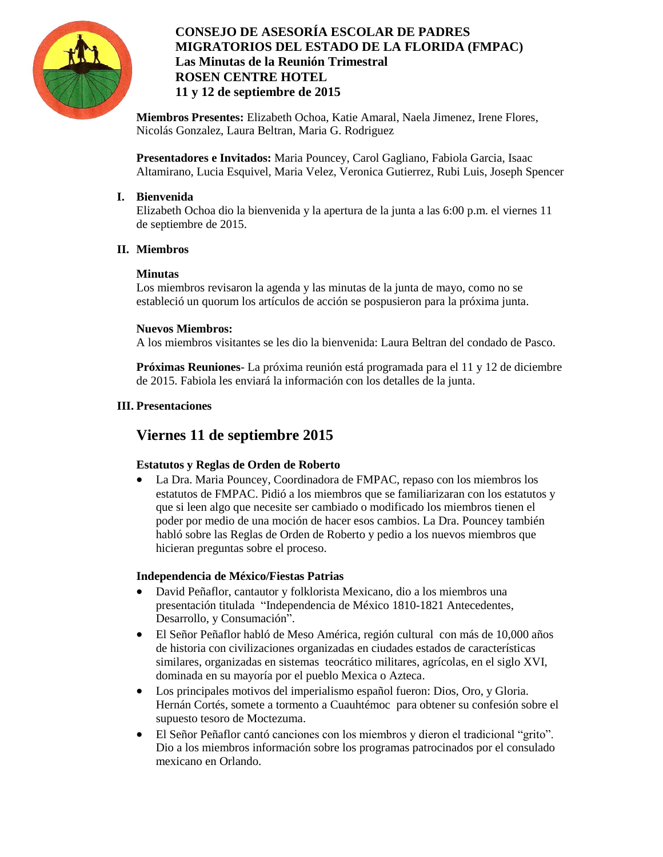

## **CONSEJO DE ASESORÍA ESCOLAR DE PADRES MIGRATORIOS DEL ESTADO DE LA FLORIDA (FMPAC) Las Minutas de la Reunión Trimestral ROSEN CENTRE HOTEL 11 y 12 de septiembre de 2015**

**Miembros Presentes:** Elizabeth Ochoa, Katie Amaral, Naela Jimenez, Irene Flores, Nicolás Gonzalez, Laura Beltran, Maria G. Rodriguez

**Presentadores e Invitados:** Maria Pouncey, Carol Gagliano, Fabiola Garcia, Isaac Altamirano, Lucia Esquivel, Maria Velez, Veronica Gutierrez, Rubi Luis, Joseph Spencer

#### **I. Bienvenida**

Elizabeth Ochoa dio la bienvenida y la apertura de la junta a las 6:00 p.m. el viernes 11 de septiembre de 2015.

### **II. Miembros**

#### **Minutas**

Los miembros revisaron la agenda y las minutas de la junta de mayo, como no se estableció un quorum los artículos de acción se pospusieron para la próxima junta.

#### **Nuevos Miembros:**

A los miembros visitantes se les dio la bienvenida: Laura Beltran del condado de Pasco.

**Próximas Reuniones**- La próxima reunión está programada para el 11 y 12 de diciembre de 2015. Fabiola les enviará la información con los detalles de la junta.

#### **III. Presentaciones**

## **Viernes 11 de septiembre 2015**

## **Estatutos y Reglas de Orden de Roberto**

 La Dra. Maria Pouncey, Coordinadora de FMPAC, repaso con los miembros los estatutos de FMPAC. Pidió a los miembros que se familiarizaran con los estatutos y que si leen algo que necesite ser cambiado o modificado los miembros tienen el poder por medio de una moción de hacer esos cambios. La Dra. Pouncey también habló sobre las Reglas de Orden de Roberto y pedio a los nuevos miembros que hicieran preguntas sobre el proceso.

#### **Independencia de México/Fiestas Patrias**

- David Peñaflor, cantautor y folklorista Mexicano, dio a los miembros una presentación titulada "Independencia de México 1810-1821 Antecedentes, Desarrollo, y Consumación".
- El Señor Peñaflor habló de Meso América, región cultural con más de 10,000 años de historia con civilizaciones organizadas en ciudades estados de características similares, organizadas en sistemas teocrático militares, agrícolas, en el siglo XVI, dominada en su mayoría por el pueblo Mexica o Azteca.
- Los principales motivos del imperialismo español fueron: Dios, Oro, y Gloria. Hernán Cortés, somete a tormento a Cuauhtémoc para obtener su confesión sobre el supuesto tesoro de Moctezuma.
- El Señor Peñaflor cantó canciones con los miembros y dieron el tradicional "grito". Dio a los miembros información sobre los programas patrocinados por el consulado mexicano en Orlando.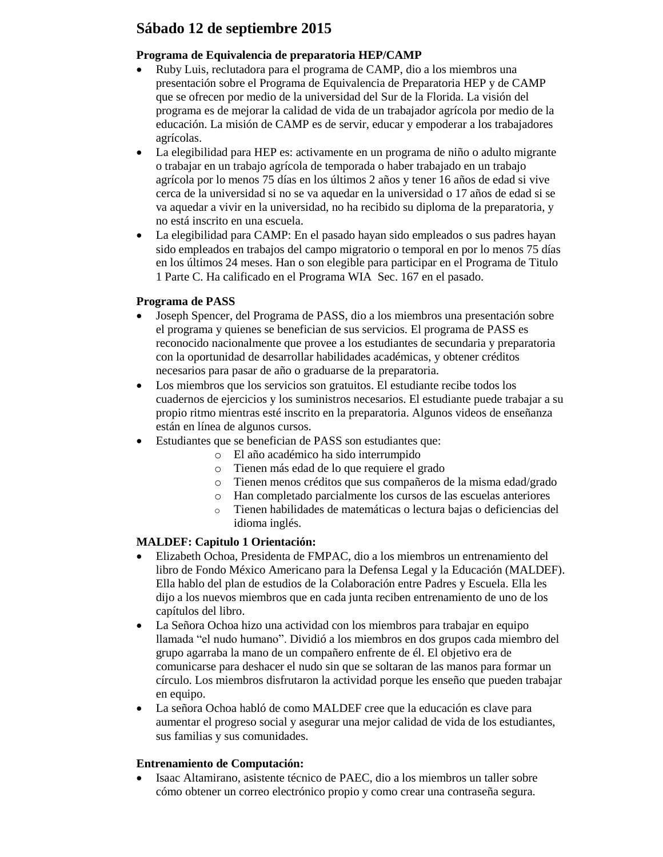## **Sábado 12 de septiembre 2015**

#### **Programa de Equivalencia de preparatoria HEP/CAMP**

- Ruby Luis, reclutadora para el programa de CAMP, dio a los miembros una presentación sobre el Programa de Equivalencia de Preparatoria HEP y de CAMP que se ofrecen por medio de la universidad del Sur de la Florida. La visión del programa es de mejorar la calidad de vida de un trabajador agrícola por medio de la educación. La misión de CAMP es de servir, educar y empoderar a los trabajadores agrícolas.
- La elegibilidad para HEP es: activamente en un programa de niño o adulto migrante o trabajar en un trabajo agrícola de temporada o haber trabajado en un trabajo agrícola por lo menos 75 días en los últimos 2 años y tener 16 años de edad si vive cerca de la universidad si no se va aquedar en la universidad o 17 años de edad si se va aquedar a vivir en la universidad, no ha recibido su diploma de la preparatoria, y no está inscrito en una escuela.
- La elegibilidad para CAMP: En el pasado hayan sido empleados o sus padres hayan sido empleados en trabajos del campo migratorio o temporal en por lo menos 75 días en los últimos 24 meses. Han o son elegible para participar en el Programa de Titulo 1 Parte C. Ha calificado en el Programa WIA Sec. 167 en el pasado.

### **Programa de PASS**

- Joseph Spencer, del Programa de PASS, dio a los miembros una presentación sobre el programa y quienes se benefician de sus servicios. El programa de PASS es reconocido nacionalmente que provee a los estudiantes de secundaria y preparatoria con la oportunidad de desarrollar habilidades académicas, y obtener créditos necesarios para pasar de año o graduarse de la preparatoria.
- Los miembros que los servicios son gratuitos. El estudiante recibe todos los cuadernos de ejercicios y los suministros necesarios. El estudiante puede trabajar a su propio ritmo mientras esté inscrito en la preparatoria. Algunos videos de enseñanza están en línea de algunos cursos.
- Estudiantes que se benefician de PASS son estudiantes que:
	- o El año académico ha sido interrumpido
	- o Tienen más edad de lo que requiere el grado
	- o Tienen menos créditos que sus compañeros de la misma edad/grado
	- o Han completado parcialmente los cursos de las escuelas anteriores
	- o Tienen habilidades de matemáticas o lectura bajas o deficiencias del idioma inglés.

## **MALDEF: Capitulo 1 Orientación:**

- Elizabeth Ochoa, Presidenta de FMPAC, dio a los miembros un entrenamiento del libro de Fondo México Americano para la Defensa Legal y la Educación (MALDEF). Ella hablo del plan de estudios de la Colaboración entre Padres y Escuela. Ella les dijo a los nuevos miembros que en cada junta reciben entrenamiento de uno de los capítulos del libro.
- La Señora Ochoa hizo una actividad con los miembros para trabajar en equipo llamada "el nudo humano". Dividió a los miembros en dos grupos cada miembro del grupo agarraba la mano de un compañero enfrente de él. El objetivo era de comunicarse para deshacer el nudo sin que se soltaran de las manos para formar un círculo. Los miembros disfrutaron la actividad porque les enseño que pueden trabajar en equipo.
- La señora Ochoa habló de como MALDEF cree que la educación es clave para aumentar el progreso social y asegurar una mejor calidad de vida de los estudiantes, sus familias y sus comunidades.

#### **Entrenamiento de Computación:**

 Isaac Altamirano, asistente técnico de PAEC, dio a los miembros un taller sobre cómo obtener un correo electrónico propio y como crear una contraseña segura.